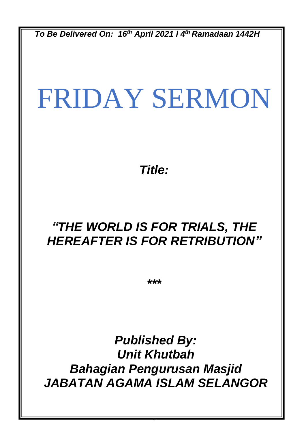*To Be Delivered On: 16th April 2021 l 4 th Ramadaan 1442H*

# FRIDAY SERMON

*Title:*

## *"THE WORLD IS FOR TRIALS, THE HEREAFTER IS FOR RETRIBUTION"*

*\*\*\**

*Published By: Unit Khutbah Bahagian Pengurusan Masjid JABATAN AGAMA ISLAM SELANGOR*

0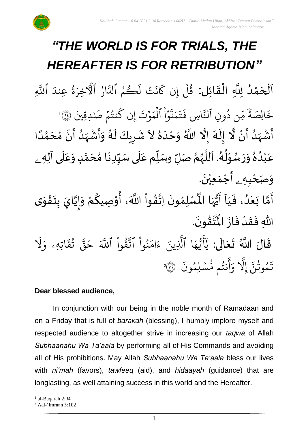# *"THE WORLD IS FOR TRIALS, THE HEREAFTER IS FOR RETRIBUTION"*

.<br>با نة<br>ا اَلْحَمْدُ لِلَّهِ الْقَائِل: قُلْ إِن كَانَتْ لَكُمْ و<br>و ْ  $\overline{\phantom{a}}$ ֦֧֦֧֦֧֦֧֦֦֦֜֜֜֜֜֜֜֜<br>**֦֘**  $\overline{\phantom{a}}$  $\frac{1}{2}$ ْ ر<br>1 ور و ر ا نَتْ اَ ء<br>ذ بخ ن كَانَتْ لَكُمُ الدَّارُ إ و<br>ا ىر<br>ك لَّذَارُ الْأَخِرَةُ ور ار لأخِرَةُ ا عِندَ اللَّهِ یہ<br>ا للَّهِ

ن دُونِ ُ u<br>L ∝<br>مر ֦֧֦֧<br>֧ׅ֧֧֧֧֧֧֧֧֧֧֧֧֧֝֓֝֓֝֓֝֬֝֓֝֬֝֬֝֬֝֬֟֓֝֬֟֓֝֬֟ خَالِصَةً مِّن دُونِ ٱلنَّاسِ لتَّاسِ فَتَمَنُّوُ <u>ہ</u><br>ا ا ُ ِ<br>په نة<br>لم بە بر<br>م ا ت ا فَتَمَنَّوُاْ ٱلْمَوْتَ  $\ddot{\phantom{0}}$ بە حَوْتَ إِن كُنتُمْ صَٰـٰدِقِينَ ۞ ٱ ر<br>1 ل َٰ  $\frac{1}{2}$ و<br>په و إ ر<br>ا .<br>أَشْہَدُ أَنْ لَّا إِلَهَ إِلَّا اللَّهُ وَحْدَهُ لاَ شَرِيكَ لَهُ وَأَشْہَدُ أَنَّ مُحَمَّدًا ំ<br>•  $\frac{1}{2}$ و<br>ا ر<br>زن ْ ِ<br>پ ์<br>-<br>1  $\frac{1}{\epsilon}$  $\frac{1}{2}$ ا<br>ا ً<br>أ ت<br>م  $\frac{1}{2}$ ان<br>م َ<br>بنج و<br>ا ر<br>زا ْ<br>;  $\ddot{\mathbf{z}}$  $\tilde{\cdot}$ ر<br>ر<br>م َ  $\overline{\mathbf{z}}$  $\ddot{\ddot{\cdot}}$ ँ<br>र  $\frac{1}{2}$ ۔<br>ا  $\frac{1}{2}$ عَبْدُهُ وَرَسُوْلُهُ. اَللَّهُمَّ صَلِّ وسَلِّم عَلَى سَيِّدِنَا مُحَمَّدٍ وَعَلَى آلِه<sub>ِ ــُ</sub>  $\overline{\mathbf{r}}$ ِ<br>م  $\tilde{\cdot}$ <u>لم</u> ر<br>آ )<br>ጎ  $\ddot{\phantom{0}}$  $\frac{1}{1}$  $\overline{\mathbf{1}}$ ِ<br>م  $\tilde{\mathbf{i}}$ تا<br>م ر<br>ر<br>ر نز<br>آ  $\mathbf{r}$ .<br>لم  $\frac{1}{\epsilon}$ ់<br>្ و<br>ر  $\ddot{\phantom{0}}$  $\tilde{\cdot}$  $\frac{2}{\lambda}$ و<br>ا ِّ<br>م .<br>م و*َص<sub>َ</sub>حْبِهِ <sub>ۦ</sub>* أَجْمَعِيْنَ. ْ  $\ddot{\phantom{0}}$ ់<br>(  $\tilde{\mathbf{A}}$  $\tilde{\mathbf{z}}$ 

- كَسَنَّ فَيَا أَيُّهَا الْمُسْلِمُونَ<br>أَمَّا بَعْدُ، فَيَا أَيُّهَا الْمُسْلِمُونَ  $\frac{1}{1}$  $\frac{1}{2}$ .<br>و ំ<br>រ  $\ddot{\cdot}$ لة<br>م ِ<br>پنج  $\ddot{\phantom{0}}$ ›<br>ለ أَيُّهَا الْمُسْلِمُونَ اِتَّقُواْ اللَّهَ، أُوْصِيكُمْ وَإِيَّايَ بِتَقْوَى ِ<br>اس ُ<br>ُرو<br>■  $\frac{1}{2}$ י<br>י **ہ**<br>م ֦֧֦֧֦֧֦֧֦֧֦֧֦֧֦֧֦֧֦֧֦֧֦֧֜֓֓<br>**֧ ہیں** الة  $\frac{1}{2}$ ֦֧<u>֦</u>  $\ddot{\phantom{0}}$  $\frac{1}{2}$ ا<br>ا |<br>|-<br>|  $\tilde{\cdot}$ ر<br>م .  $\ddot{\phantom{0}}$ ؾڤۏڹؘ  $\frac{9}{4}$ ا<br>ایر<br>جو ہ<br>ا اللّٰهِ فَقَدْ فَازَ الْمُ  $\ddot{\cdot}$  $\frac{1}{2}$ ْ  $\frac{1}{2}$  $\ddot{\cdot}$
- قَالَ اللَّهُ تَعَالَى: ِ<br>ای  $\frac{1}{2}$  $\ddot{\phantom{0}}$  $\ddot{\mathbf{r}}$ ا َل ر<br>م اتِهِۦ و ا ق ت و<br>په ِ<br>په قی ا ح َّا قُوا أَللَّهَ ْ مُ ور ِ<br>په نُوا اڌّ <u>ہ</u> ُو<br>و ا ام ا ء ِينا ِ<br>آ ا اَلَّذِ ر<br>م ه و<br>د سَ<br>ڊ ۔<br>ج أ ِ<br>د بد ا سْلِمُونَ و  $\ddot{\phantom{0}}$ و<br>مم نتُم مَّ و<br>په اند أ بر و ِ<br>آ َِل إ ِ<br>پَ تَمُوثُنَّ إِلَّا وَأَنتُم مُّسۡلِمُونَ ۞ و<br>په و 2

#### **Dear blessed audience,**

In conjunction with our being in the noble month of Ramadaan and on a Friday that is full of *barakah* (blessing), I humbly implore myself and respected audience to altogether strive in increasing our *taqwa* of Allah *Subhaanahu Wa Ta'aala* by performing all of His Commands and avoiding all of His prohibitions. May Allah *Subhaanahu Wa Ta'aala* bless our lives with *ni'mah* (favors), *tawfeeq* (aid), and *hidaayah* (guidance) that are longlasting, as well attaining success in this world and the Hereafter.

<sup>&</sup>lt;sup>1</sup> al-Baqarah 2:94

<sup>2</sup> Aal-'Imraan 3:102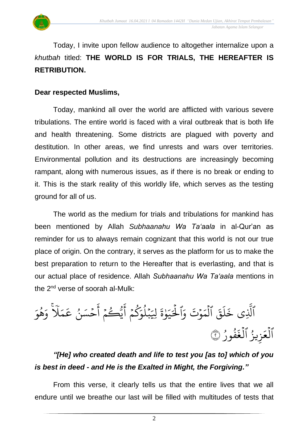Today, I invite upon fellow audience to altogether internalize upon a *khutbah* titled: **THE WORLD IS FOR TRIALS, THE HEREAFTER IS RETRIBUTION.**

#### **Dear respected Muslims,**

Today, mankind all over the world are afflicted with various severe tribulations. The entire world is faced with a viral outbreak that is both life and health threatening. Some districts are plagued with poverty and destitution. In other areas, we find unrests and wars over territories. Environmental pollution and its destructions are increasingly becoming rampant, along with numerous issues, as if there is no break or ending to it. This is the stark reality of this worldly life, which serves as the testing ground for all of us.

The world as the medium for trials and tribulations for mankind has been mentioned by Allah *Subhaanahu Wa Ta'aala* in al-Qur'an as reminder for us to always remain cognizant that this world is not our true place of origin. On the contrary, it serves as the platform for us to make the best preparation to return to the Hereafter that is everlasting, and that is our actual place of residence. Allah *Subhaanahu Wa Ta'aala* mentions in the 2<sup>nd</sup> verse of soorah al-Mulk:

الذِي ِ<br>آ لَّذِی ا ق ا  $\uplambda$ ا خَلَقَ ٱلْمَوۡتَ  $\ddot{\phantom{0}}$ ا لْمَوْتَ າ<br>ໂ ا<br>م وَّا ا ة و َٰ ار بر ا<br>د ر<br>1. لحَيَوْةَ بر هْوَ و<br>ج ر<br>م و ٗ  $\lambda$ بە م بر .<br>حُسَنُ عَـ ُ  $\frac{1}{2}$ اند أ  $\frac{1}{2}$ و<br>يُڪُمُ و ا<br>ع أ م ك  $\frac{1}{2}$ ر ا<br>م لِيَبْلُوَ و<br>ا  $\ddot{\phantom{0}}$ العَزِيزُ و<br>و ا لعَزِيزُ الغَفُورُ ر<br>1 ُ و<br>و ا لغَفُورُ ۞ ر<br>1

## *"[He] who created death and life to test you [as to] which of you is best in deed - and He is the Exalted in Might, the Forgiving."*

From this verse, it clearly tells us that the entire lives that we all endure until we breathe our last will be filled with multitudes of tests that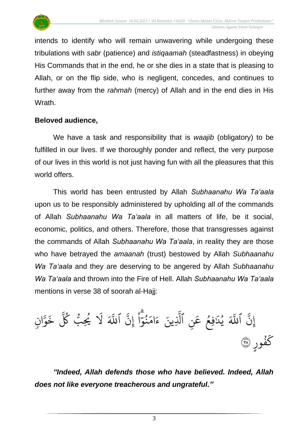

intends to identify who will remain unwavering while undergoing these tribulations with *sabr* (patience) and *istiqaamah* (steadfastness) in obeying His Commands that in the end, he or she dies in a state that is pleasing to Allah, or on the flip side, who is negligent, concedes, and continues to further away from the *rahmah* (mercy) of Allah and in the end dies in His Wrath.

#### **Beloved audience,**

We have a task and responsibility that is *waajib* (obligatory) to be fulfilled in our lives. If we thoroughly ponder and reflect, the very purpose of our lives in this world is not just having fun with all the pleasures that this world offers.

This world has been entrusted by Allah *Subhaanahu Wa Ta'aala* upon us to be responsibly administered by upholding all of the commands of Allah *Subhaanahu Wa Ta'aala* in all matters of life, be it social, economic, politics, and others. Therefore, those that transgresses against the commands of Allah *Subhaanahu Wa Ta'aala*, in reality they are those who have betrayed the *amaanah* (trust) bestowed by Allah *Subhaanahu Wa Ta'aala* and they are deserving to be angered by Allah *Subhaanahu Wa Ta'aala* and thrown into the Fire of Hell. Allah *Subhaanahu Wa Ta'aala* mentions in verse 38 of soorah al-Hajj:

ِ<br>په إِنّ ا َّا للَّهَ يُدَفِعُ عَنِ ۔<br>م ع فِع و<br>و َٰ ا يُلَافِعُ عَنِ ٱلَّذِينَ و<br>د یہ<br>۱ لَّذِينَ ِ<br>پَ إِن ֦֖֦֧֘֟֟֟֟֟֟֟֟֟֟֟֟֟֟֟֟֟֟֟֟֟<sup>֟</sup> ْ م ا سے<br>حہ بر<br>نمو ُ بر ام ا ءَامَنُوٓا إِنَّ ا َّا ن ٖ وا ین<br>ح للَّٰهَ ا خ و<br>سما ُك و<br>سا ِب ُي و<br>م ا َل ٍ ور ف و<br>و بخ كفُورِ ۞

*"Indeed, Allah defends those who have believed. Indeed, Allah does not like everyone treacherous and ungrateful."*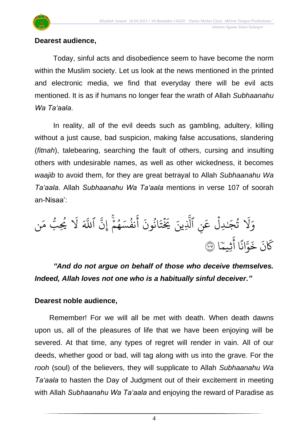

#### **Dearest audience,**

Today, sinful acts and disobedience seem to have become the norm within the Muslim society. Let us look at the news mentioned in the printed and electronic media, we find that everyday there will be evil acts mentioned. It is as if humans no longer fear the wrath of Allah *Subhaanahu Wa Ta'aala*.

In reality, all of the evil deeds such as gambling, adultery, killing without a just cause, bad suspicion, making false accusations, slandering (*fitnah*), talebearing, searching the fault of others, cursing and insulting others with undesirable names, as well as other wickedness, it becomes *waajib* to avoid them, for they are great betrayal to Allah *Subhaanahu Wa Ta'aala*. Allah *Subhaanahu Wa Ta'aala* mentions in verse 107 of soorah an-Nisaa':

ا َل ا وَلا تُجَنْدِلْ عَنِ ۔<br>م تُجَـٰدِلَّ عَنِ ٱلَّذِينَ ر<br>1 َٰ و<br>په ِ<br>آ الَّذِينَ ا<br>ع أ ا انُونَ ُو<br>په ا ت بة یَزُ ِ<br>په .<br>نفُسَهُمْ إِنَّ ؚ<br>֖֡֟֟֟֟֟֟֟֟֟֟֟֟֟֟֟֟֟֟֟֟֟֟֟֟֟֟֟֬֟֩֡֬֟֩֕֓֟֓֟֬֟֩֕֩ こっ و<br>م و<br>د َّا اللَّٰہَ لَا یُحِبُّ مَن ر<br>م ر<br>م و<br>س ِب ُي و ا َل ا بة<br>م ثِيم ا<br>ع ا أ <sup>.</sup><br>∶ ان ىد<br>م ¤<br>و∫ بر خ ا ن بخ كَانَ خَوَّانًا آثِيمًا ۞

*"And do not argue on behalf of those who deceive themselves. Indeed, Allah loves not one who is a habitually sinful deceiver."*

#### **Dearest noble audience,**

Remember! For we will all be met with death. When death dawns upon us, all of the pleasures of life that we have been enjoying will be severed. At that time, any types of regret will render in vain. All of our deeds, whether good or bad, will tag along with us into the grave. For the *rooh* (soul) of the believers, they will supplicate to Allah *Subhaanahu Wa Ta'aala* to hasten the Day of Judgment out of their excitement in meeting with Allah *Subhaanahu Wa Ta'aala* and enjoying the reward of Paradise as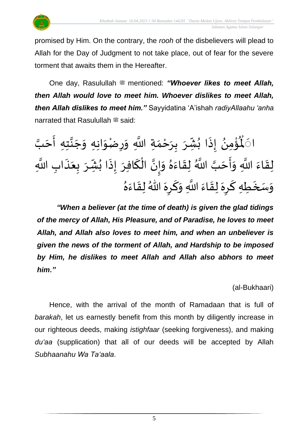

promised by Him. On the contrary, the *rooh* of the disbelievers will plead to Allah for the Day of Judgment to not take place, out of fear for the severe torment that awaits them in the Hereafter.

One day, Rasulullah <sup>22</sup> mentioned: *"Whoever likes to meet Allah, then Allah would love to meet him. Whoever dislikes to meet Allah, then Allah dislikes to meet him."* Sayyidatina 'A'ishah *radiyAllaahu 'anha* narrated that Rasulullah  $\stackrel{\text{\tiny def}}{=}$  said:

ا۞ڵۘۘؗٶٞ۠ڡؚڽؙ ्<br>.. **ہ**<br>∙ <u>د</u>  $\mathbf{r}$ لْمُؤْمِنُ إِذَا بُشِّرَ بِرَحْمَةِ اللَّهِ وَرِضْوَانِهِ وَجَنَّتِهِ أَحَبَّ .<br>مئي إِذَا بُشِّرَ بِرَحْمَةِ اللَّهِ وَرِضْوَانِهِ وَجَنَّتِهِ أَحَ  $\frac{1}{2}$ انا<br>م  $\overline{\phantom{a}}$  $\tilde{\cdot}$  $\frac{1}{2}$  $\tilde{\cdot}$  $\frac{1}{2}$ ْ  $\frac{1}{2}$  $\overline{\phantom{a}}$  $\frac{1}{2}$ ِ<br>پ  $\ddot{\cdot}$  $\sum$ .<br>نَبَّ اللَّهُ لِ لِقَاءَ اللَّهِ وَأَحَبَّ اللَّهُ لِقَاءَهُ وَإِنَّ الْكَافِرَ إِذَا بُشِّرَ بِعَذَابِ اللَّهِ ر<br>ج  $\frac{1}{2}$ ्<br>;  $\frac{1}{2}$ س<br>په َ  $\frac{1}{2}$ ا<br>په ُ<br>≀  $\ddot{\cdot}$  $\frac{1}{2}$ ં<br>ન ْ لة<br>• |<br>\_<br>\_  $\frac{1}{2}$ ا<br>ا  $\frac{1}{2}$  $\frac{1}{2}$  $\frac{1}{2}$ رَ<br>وَسَخَطِهِ كَرِهَ لِقَاءَ اللَّهِ وَكَرِهَ اللَّهُ لِقَاءَهُ ֺ<u>֓</u>  $\frac{1}{2}$  $\tilde{ }$  $\frac{1}{2}$ ۔<br>۔  $\ddot{\phantom{0}}$  $\frac{1}{2}$ ์<br>-<br>- $\tilde{ }$  $\sum$  $\frac{1}{2}$  $\frac{1}{2}$ بر<br>▲

*"When a believer (at the time of death) is given the glad tidings of the mercy of Allah, His Pleasure, and of Paradise, he loves to meet Allah, and Allah also loves to meet him, and when an unbeliever is given the news of the torment of Allah, and Hardship to be imposed by Him, he dislikes to meet Allah and Allah also abhors to meet him."*

(al-Bukhaari)

Hence, with the arrival of the month of Ramadaan that is full of *barakah*, let us earnestly benefit from this month by diligently increase in our righteous deeds, making *istighfaar* (seeking forgiveness), and making *du'aa* (supplication) that all of our deeds will be accepted by Allah *Subhaanahu Wa Ta'aala*.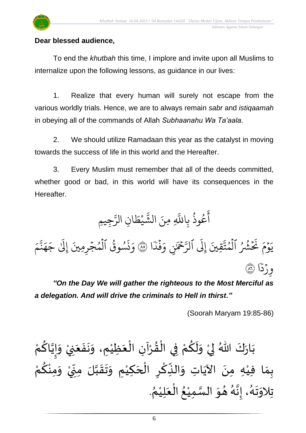## **Dear blessed audience,**

To end the *khutbah* this time, I implore and invite upon all Muslims to internalize upon the following lessons, as guidance in our lives:

1. Realize that every human will surely not escape from the various worldly trials. Hence, we are to always remain *sabr* and *istiqaamah* in obeying all of the commands of Allah *Subhaanahu Wa Ta'aala*.

2. We should utilize Ramadaan this year as the catalyst in moving towards the success of life in this world and the Hereafter.

3. Every Muslim must remember that all of the deeds committed, whether good or bad, in this world will have its consequences in the Hereafter.

و<br>په وذ ع و<br>م ا<br>ع أ بِاللَّهِ بہ<br>آ نَ الشَّيْطَانِ ا للَّٰلهِ مِ ار يْطَ **ٔ** ्<br>रू الشَّيْطَانِ الرَّجِيمِ ِ<br>سَ الر ا م و  $\ddot{\phantom{0}}$ ا يَوۡمَ نَحۡشۡرُ ُ ر<br>په  $\frac{1}{2}$ ا نَّكَشُّرُ ٱلْمُتَّقِينَ لَّٰمُتَّقِينَ إِلَى ٱلرَّحۡمَٰنِ و ້<br>ໄ إ ِ<br>سَ لرَّحْمَٰنِ وَفَدَّا ֦֧֦֝<br>֧֝֜<br>׀ وَفَدَا ۞ وَنَسُوقُ  $\ddot{\cdot}$ و<br>په ز وَنَسُوقُ ٱلْمُجۡرِمِينَ  $\ddot{\phantom{0}}$ و ر<br>1 بە م ِ<br>په نة<br>م ر<br>م ه ا ج ا إلىٰ ا  $\ddot{\tilde{}}$ وِرْدًا ۞  $\ddot{\phantom{0}}$ 

*"On the Day We will gather the righteous to the Most Merciful as a delegation. And will drive the criminals to Hell in thirst."*

(Soorah Maryam 19:85-86)

 $\frac{1}{2}$ بَارَكَ اللّهُ لِيْ وَلَكُمْ فِي الْقُرْآنِ الْعَظِيْمِ، وَنَفَعَنِيْ  $\ddot{\phantom{0}}$ ْ َ  $\frac{1}{2}$  $\ddot{\phantom{0}}$  $\tilde{\cdot}$ ْ  $\frac{1}{2}$ ֦֧֦֧֦֧֦֧֦֧֦֧֦֧֜֜֜֜֓֓<br>֧ׅׅ֝֜֜֜֜֜֜֜֜֜֜֜֜֜֜֝֜֜֬֟ ْ  $\frac{9}{4}$ ֦֧֦֧֦֧֦֧֦֧֦֜֜֜֜֜֜֜<br>֧֝֜֜ ْ <u>ہ</u>  $\tilde{\mathbf{r}}$  $\frac{1}{2}$ ْ ء<br>وَ الأو كَ اللّهُ لِيْ وَلَكُمْ فِي الْقُرْآنِ الْعَظِيْمِ، وَنَفَعَنِيْ وَإِيَّاكُمْ ْ <u>ل</u> ن<br>• !<br>-<br>- $\frac{1}{2}$ ْ بِمَا فِيْهِ مِنَ الآيَاتِ وَالنِّكْرِ الْحَكِيْمِ وَتَقَبَّلَ مِنِّيْ وَمِنْكُمْ <u>ل</u> ់<br>•  $\tilde{\cdot}$ ْ .<br>.<br>.  $\sum$ ن<br>ا  $\frac{1}{2}$  $\frac{1}{2}$  $\tilde{\cdot}$ ់<br>រ  $\overline{\phantom{a}}$ ْ  $\overline{\phantom{a}}$ ؚ<br>م  $\frac{1}{2}$ ์ $\frac{1}{2}$ ِ<br>پُ  $\ddot{\phantom{0}}$ ់<br>រ  $\frac{1}{2}$ . ़<br>१ تِلاوَتَهُ، إِنَّهُ هُوَ السَّمِيْعُ الْعَلِيْمُ ْ َ ֦֧֦֧֦֧֦֧֦֧֦֜֜֜֜֓֓֟֓<br>֧ׅׅׅ֝֜֜֜֜֜֜֜֜֜֜֝֜֜֜֝֜֜֬֟ ُ ْ ا<br>ما  $\frac{1}{2}$  $\frac{1}{2}$ و<br>گ ن<br>•  $\frac{1}{2}$ .<br>ر<br>ا  $\ddot{\phantom{0}}$  $\frac{1}{2}$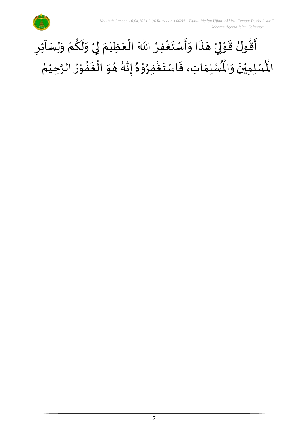

#### أَقُولُ قَوْلِيْ هَذَا وَأَسْتَغْفِرُ اللّٰهَ الْعَظِيْمَ لِيْ وَلَكُمْ وَلِسَاْئِرِ ُِ<br>وف  $\ddot{\phantom{0}}$  $\frac{1}{2}$  $\frac{1}{2}$  $\ddot{\cdot}$  $\overline{a}$ ំ<br>, لمح י<br>י  $\frac{1}{2}$ ر<br>بو ົ $\vdots$  $\sum$  $\tilde{\cdot}$ ْ <u>و</u>  $\tilde{\mathbf{r}}$  $\tilde{\cdot}$ ْ إ  $\frac{1}{2}$ ْ َ ֦֧֦֧֦֧֦֧֦֧֦֧֦֧֜֜֜֜֓֓<br>֧֝֜֜֜֜֜֜֜֜֜֜֜֜֜֞֟ ُ رِبِ<br>لْمُسْلِمَاتِ، فَاسْتَغْفِرُوْهُ إِنَّهُ هُوَ الْغَفُوْرُ الرَّحِيْمُ ْ اتا<br>ا  $\frac{1}{2}$ ֦֧֦֧֦֝  $\frac{1}{2}$ .<br>. ر<br>ف  $\frac{1}{2}$  $\frac{1}{2}$ و<br>گ ن<br>•<br>•  $\frac{1}{2}$  $^2$ י<br>י  $\frac{1}{2}$ ِ<br>وفيات  $\ddot{\ }$  $\ddot{\cdot}$  $\frac{1}{\lambda}$ ر۔<br>لْمُسْلِمِيْنَ وَالْمُ  $\frac{1}{2}$  $\ddot{\phantom{0}}$ ់<br>រ المأ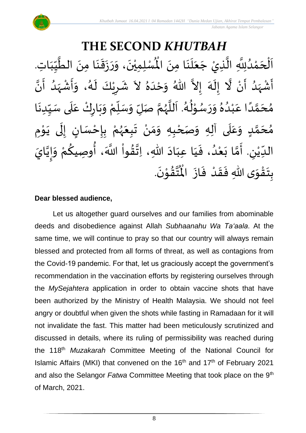#### **THE SECOND** *KHUTBAH* للسلمِيْنَ، وَرَزَقَنَا مِنَ الطَّيِّبَاتِ  $\frac{1}{1}$  $\frac{1}{2}$  $\frac{1}{2}$ ان<br>ا  $\ddot{\phantom{0}}$ ़<br>; ا<br>:  $\ddot{\cdot}$  $\frac{1}{2}$  $\tilde{\cdot}$  $\ddot{\phantom{0}}$ ّٰ اَلْحَمْدُلِلَّهِ الَّذِيْ جَعَلَنَا مِنَ الْمُسْلِمِيْنَ، وَرَزَقَنَا مِنَ الطَّيِّبَاتِ.  $\ddot{\phantom{0}}$  $\ddot{\phantom{0}}$ َ<br>الم َ  $\overline{\phantom{a}}$ ا<br>ا اتا<br>ا و<br>ا ំ<br>ត  $\overline{\phantom{a}}$ ْ  $\overline{\phantom{a}}$ ا<br>ا أَشْهَدُ أَنْ لَّا إِلَهَ إِلاَّ اللّهُ وَحْدَهُ لاَ شَرِيْكَ لَهُ، وَأَشْهَدُ أَنَّ ْ ر<br>پنج و<br>ا ر<br>زن ْ ِ<br>پ ै<br>जन्म تا<br>ج ر<br>آم  $\tilde{\cdot}$  $\frac{1}{2}$  $\tilde{\phantom{0}}$  $\frac{1}{2}$ ِ<br>ا  $\tilde{\cdot}$ ا<br>به<br>• -<br>:<br>: بر<br>د  $\frac{1}{2}$ ْ  $\frac{1}{2}$  $\tilde{\cdot}$ ر<br>گ  $\tilde{\mathbf{r}}$ ْ  $\overline{\phantom{a}}$  $\frac{1}{2}$ مُحَمَّدًا عَبْدُهُ وَرَسُوْلُهُ. اَللَّهُمَّ صَلِّ وَسَلِّمْ وَبَارِكْ عَلَى سَبِّدِنَا  $\ddot{\phantom{0}}$  $\frac{1}{1}$  $\frac{1}{2}$ `<br>أ  $\frac{1}{2}$ ر<br>و  $\ddot{\phantom{0}}$  $\frac{1}{2}$ ْ ์<br>ข้  $\overline{r}$  $\tilde{\cdot}$ ن<br>م ر<br>ر<br>ر ا<br>ا  $\overline{\phantom{a}}$ و<br>گ  $\frac{1}{2}$ י<br>י و<br>م  $\frac{1}{2}$  $\frac{1}{2}$  $\frac{1}{\lambda}$ و<br>و ْ .<br>م ً<br>أ ت<br>م  $\overline{\phantom{a}}$ ر<br>م مُحَمَّدٍ وَعَلَى آلِهِ وَصَحْبِهِ وَمَنْ تَبِعَهُمْ بِإِحْسَانٍ إِلَى يَوْمِ <u>ل</u>ے ت<br>م  $\overline{\phantom{a}}$ ر<br>^  $\overline{\mathbf{r}}$ ً<br>م  $\tilde{\cdot}$ י<br>י ا<br>با<br>•  $\ddot{\phantom{0}}$ ل  $\frac{1}{2}$ ر<br>! ْ <u>د</u><br>-ْ ر<br>ر<br>ر  $\frac{1}{2}$  $\frac{1}{2}$ ْ  $\frac{1}{2}$ ์ $\tilde{\cdot}$ ֦֧<u>֦</u> ំ<br>រ الدِّيْنِ. أَمَّا بَعْدُ، فَيَا عِبَادَ اللّهِ، اِتَّقُواْ اللَّهَ، أُوصِيكُمْ وَإِيَّايَ  $\ddot{\ }$ ت<br>م  $\frac{1}{2}$  $\overline{\phantom{a}}$ ّٰ<br>ٰ  $\frac{1}{\sqrt{2}}$ ن<br>•<br>• !<br>-<br>- $\frac{1}{2}$ .<br>م <u>ل</u> ُ<br>پیدا ٔ<br>ا ′<br>مو ن<br>\*  $\sim$  $\frac{1}{1}$ َ  $\frac{1}{2}$ ٍ<br>'' .  $\ddot{\phantom{0}}$ تقوْنَ ֦֧֝֝֝<br>**֧**  $\frac{9}{4}$ ا<br>استقطا<br>جوا ُ<br>مو بِتَقْوَى اللّهِ فَقَدْ فَازَ الْمُ  $\ddot{\cdot}$  $\frac{1}{2}$ ْ  $\frac{1}{2}$  $\frac{1}{2}$  $\frac{1}{2}$ ْ  $\ddot{\ }$  $\ddot{\cdot}$

#### **Dear blessed audience,**

Let us altogether guard ourselves and our families from abominable deeds and disobedience against Allah *Subhaanahu Wa Ta'aala*. At the same time, we will continue to pray so that our country will always remain blessed and protected from all forms of threat, as well as contagions from the Covid-19 pandemic. For that, let us graciously accept the government's recommendation in the vaccination efforts by registering ourselves through the *MySejahtera* application in order to obtain vaccine shots that have been authorized by the Ministry of Health Malaysia. We should not feel angry or doubtful when given the shots while fasting in Ramadaan for it will not invalidate the fast. This matter had been meticulously scrutinized and discussed in details, where its ruling of permissibility was reached during the 118th *Muzakarah* Committee Meeting of the National Council for Islamic Affairs (MKI) that convened on the 16<sup>th</sup> and 17<sup>th</sup> of February 2021 and also the Selangor *Fatwa* Committee Meeting that took place on the 9th of March, 2021.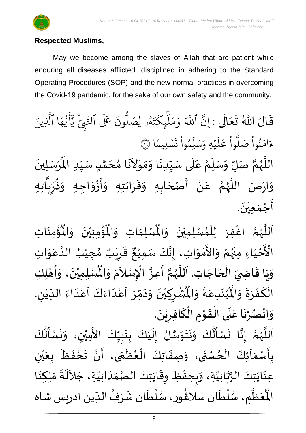

### **Respected Muslims,**

May we become among the slaves of Allah that are patient while enduring all diseases afflicted, disciplined in adhering to the Standard Operating Procedures (SOP) and the new normal practices in overcoming the Covid-19 pandemic, for the sake of our own safety and the community.

قَالَ اللّٰهُ تَعَالَى : إِنَّ  $\ddot{\phantom{0}}$ َ  $\frac{1}{2}$  $\frac{1}{2}$ نَّ ا إ َّا للَّهَ وَمَلْيِكْتَهُ و<br>لم ا ت بر ِك ئ آَٰ  $\mu$ ا بر<br>م ار وَمَلَّٰبٍكَتَهُۥ يُصَلُّونَ عَلَى ون و<br>ا يُصَلُّونَ عَلَى ٱلتَّبِيِّ و<br>د لنَّبِّيّ يَاْيُّهَا ر<br>م ه و<br>د سَ<br>ڊ ا<br>اع  $\overline{\mathcal{L}}$ ِ<br>د يَّأَيُّهَا ٱلَّذِينَ یہ<br>۱ َّل ا  $\frac{2}{1}$ .<br>سليمًا  $\ddot{\phantom{0}}$ ا ت ْ وا ِم و ں<br>آ ل ا<br>م بر<br>سد ا يُهِ وَ,  $\ddot{\phantom{0}}$ ا  $\uplambda$ ۔<br>م ع وا ْ و<br>ا ب<br>نُواْ صَلَّ ؙ<br>
<sup>ب</sup> ُو<br>و ا ءَامَنُواْ صَلُّواْ عَلَيْهِ وَسَلِّمُواْ تَسۡلِيمًا ۞ اللَّهُمَّ صَلِّ وَسَلِّمْ عَلَى سَيِّدِنَا وَمَوْلاَنَا مُحَمَّدٍ سَيِّدِ الْمُرْسَلِينَ  $\ddot{\phantom{0}}$ ْ  $\ddot{\mathbf{r}}$ للَّهُمَّ صَلِّ وَسَلِّمْ عَلَى سَيِّدِنَا وَمَوْلاَنَا مُحَمَّدٍ سَيِّدِ الْمُ  $\frac{1}{1}$  $\frac{1}{2}$ <u>لم</u> ت<br>م  $\overline{\phantom{a}}$  $\frac{1}{2}$  $\overline{\phantom{a}}$  $\sim$ י<br>י  $\frac{1}{2}$  $\frac{1}{2}$ .<br>.<br>.  $\frac{1}{1}$ ۔<br>آ .<br>م ْ :<br>i  $\overline{r}$  $\frac{1}{2}$ ا<br>مح ر<br>ر<br>ر ة<br>أ وَارْضَ اللَّهُمَّ عَنْ أَصْحَابِهِ وَقَرَابَتِهِ وَأَزْوَاجِهِ وَذُرِّيَّاتِهِ ्<br>। با<br>: ۠<br>ؙ .<br>م ن<br>م ر<br>ر<br>ر ا<br>آلا  $\frac{1}{2}$ تا .<br>تا  $\frac{1}{2}$ ر ا<br>باد<br>•  $\frac{1}{2}$  $\frac{1}{2}$ ا<br>:  $\frac{1}{2}$  $\frac{1}{2}$  $\ddot{\phantom{0}}$  $\frac{1}{2}$  $\frac{1}{2}$  $\frac{1}{2}$  $\ddot{\phantom{0}}$ أَجْمَع<u>ي</u>ُنَ. ់<br>រ  $\frac{1}{2}$ ֦֧<u>֦</u> ।<br>न्

ؙۊؙٝڡؚڹؘٳؾؚ  $\ddot{\phantom{0}}$ ់<br>: ُْ ُؤْمِنِيْنَ ۖ وَالْمُ  $\frac{1}{2}$  $\ddot{\phantom{0}}$ ْ ؚ<br>م  $\mathbf{r}^{\circ}$ ِ<br>لْمُسْلِمَاتِ وَالْمُ  $\frac{1}{2}$  $\frac{1}{2}$ ِ<br>اَللَّهُمَّ اغْفِرْ لِلْمُسْلِمِيْنَ وَالْمُ  $\frac{1}{2}$  $\ddot{\phantom{0}}$ ់<br>រ ُ<br>አ ់<br>ព្រ ِ<br>و ن<br>م ر<br>ر<br>ر ا<br>آ ً<br>آ ـــ<br>م<br>م الْأَحْيَاءِ مِنْهُمْ وَالأَمْوَاتِ، إِنَّكَ سَمِيْعٌ قَرِيْبٌ مُجِيْبُ الدَّعَوَاتِ َ ֦֧֦֧֦֧֦֧֦֧֦֧֦֧֦֧֟֓<br>**֧** ْ ِ<br>رو ْ  $\frac{1}{2}$ ْ<br>م ں<br>ج  $\frac{1}{2}$ ِ<br>م ان<br>ا ُ ٝ<br>ْ ๋<br>ጎ ه<br>**ثا** ي ر ق  $\overline{\phantom{a}}$  $\ddot{\ddot{\mathbf{r}}}$  $\frac{1}{2}$ ، إِنَّكَ سَمِيْعٌ ْ ل<br>•<br>•  $\frac{1}{2}$ وَيَا قَاضِيَ الْحَاجَاتِ. اَللَّهُمَّ أَعِزَّ الْإِسْلاَمَ وَ  $\overline{\phantom{a}}$ ֦֧֦֧֦֧֦֧֦֧֦֧֦֧֦֧<br>**֧**  $\overline{a}$ ֦֧֦֦֦֝֝֝֝֝<br>֧֝֝֝֝֝֝֝֝֝֝֝֝֝֝֝֝֝֝֝֝֝<br>֝֟֝֝֝֝**֟**  $\ddot{\phantom{0}}$  $\frac{1}{2}$ ۔<br>آ ا<br>آ و<br>ر<br>ر ن<br>م  $\frac{1}{2}$ الله ا<br>م  $\tilde{\zeta}$ .<br>د  $\frac{1}{2}$  $\ddot{\text{h}}$ الْمُسْلِمِيْنَ، وَأَهْلِكِ ۔<br>م ْ ه<br>به  $\ddot{\phantom{0}}$  $\overline{1}$ י<br>**י**  $\frac{1}{2}$  $\frac{1}{2}$ . لي ُشْرِكِيْنَ وَدَمِّرْ أَعْدَاءَكَ أَعْدَاءَ اللدِّيْنِ ْ  $\frac{1}{1}$  $\frac{1}{2}$ ۔<br>ا .<br>م  $\frac{1}{2}$ ا<br>د  $\frac{1}{2}$ ا<br>-<br>ا ْ<br>م  $\overline{\phantom{a}}$ ّ<br>ا<br>ا  $\frac{1}{\lambda}$  $\sim$  $\frac{1}{2}$  $\ddot{\phantom{0}}$ ْ  $\overline{\phantom{a}}$ ْ  $\ddot{\hat{}}$ ُبْتَدِعَةً وَالْمُ  $\frac{1}{2}$  $\frac{1}{2}$ .<br>م  $\ddot{\ }$ ٝ<br>ْ  $\ddot{\bm{r}}$ الْكَفَرَةَ وَالْمُ ์ $\frac{1}{2}$  $\frac{1}{2}$  $\frac{1}{2}$  $\ddot{\cdot}$ ا<br>سم .<br>أ .  $\ddot{\phantom{0}}$ وَانْصُرْنَا عَلَى الْقَوْمِ الْكَافِرِيْنَ ْ  $\sum$ ์<br>้ .<br>ا  $\ddot{\phantom{0}}$ ْ  $\frac{1}{2}$ ْ<br>ا َ ِ<br>م  $\ddot{\phantom{0}}$ ْ و<br>د ់<br>•  $\frac{1}{2}$ 

-<br>اَللَّهُمَّ إِنَّا نَسْأَلُكَ وَنَتَوَسَّلُ إِلَيْكَ بِنَبِيِّكَ الأَمِيْنِ، وَنَسْأَلُكَ ំ<br>រ  $\tilde{\mathbf{r}}$  $\frac{1}{2}$ ا<br>ما  $\ddot{\ }$  $\ddot{\phantom{0}}$  $\ddot{\phantom{0}}$  $\tilde{\cdot}$ ُمُ<br>اُ∱  $\frac{1}{2}$  $\ddot{\cdot}$ ا<br>با<br>:  $\frac{1}{2}$ ن<br>م ر<br>ر<br>ر ا<br>آ ا<br>آ  $\frac{1}{1}$  $\frac{1}{2}$ <u>لم</u><br>:  $\ddot{\phantom{0}}$ <u>د</u><br>: َ<br>ع ُ<br>اُ∱  $\sum_{i=1}^{n}$  $\ddot{\phantom{0}}$  $\tilde{\cdot}$ ْ  $\ddot{\phantom{0}}$ .<br>بِأَسْمَاَئِكَ الْحُسْنَى، وَصِفَاتِكَ الْعُظُمَى، أَنْ تَحْفَظَ بِعَيْنِ و<br>م ْ  $\frac{1}{2}$  $\frac{1}{2}$ <u>د</u><br>: ر<br>م ֦֧֦֧֦֧֦֧֦֧֦֧֦֧֦֧֦֧֦֧֦֧֦֧֝֝<br>**֧**  $\frac{1}{2}$ ֦֧֦֧֦֧֦֧֦֧֦֧֦֜֜֜֓֓֟֓<br>֧ׅׅׅ֛֛֝֜֜֜֜֜֜֜֜֜֝֜֜֜֝֜֜  $\ddot{\cdot}$  $\frac{1}{2}$ ْ ي  $\frac{1}{2}$  $\frac{1}{\sqrt{2}}$  $\ddot{\cdot}$  $\frac{1}{2}$ ْ  $\sum_{i=1}^{n}$ ر<br>عِنَايَتِكَ الرَّبَّانِيَّةِ، وَبِحِفْظِ وِقَايَتِكَ الصَّمَدَانِيَّةِ، جَلاَلَةَ مَلِكِنَا ا<br>ا ن<br>ما<br>۱ انہ<br>م  $\ddot{\phantom{0}}$  $\ddot{\phantom{0}}$  $\sim$ اتا<br>ا  $\frac{1}{1}$  $\frac{1}{2}$ اتا<br>مر  $\ddot{\phantom{0}}$  $\frac{1}{2}$ ້<br>: رد  $\frac{1}{2}$  $\ddot{\cdot}$ ِ<br>پ  $\ddot{\phantom{0}}$  $\frac{1}{2}$  م ظ ع ر<br>آباد  $\overline{\phantom{a}}$ ر<br>مو الْمُعَظَّمِ، سُلْطَان شَرَفُ الدِّين ادريس شاه ر<br>م ر<br>أ ر<br>م }<br>፟<br>፟  $\frac{1}{\sqrt{2}}$ ُ  $\frac{1}{2}$ ر<br>م ֦֧֦֧֦ ر<br>م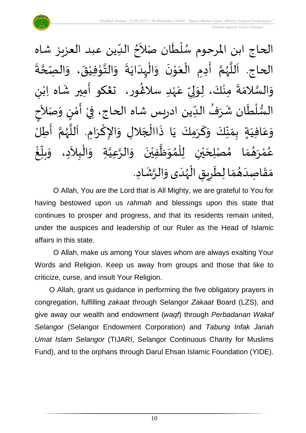$\lambda$ الحاج ابن المرحوم سُلْطَان صَلاَحُ الدِّين عبد العزيز شاه  $\ddot{\phantom{0}}$ ់<br>( و<br>ر  $\frac{1}{\sqrt{2}}$ ُ  $\ddot{\cdot}$ ة ة<br>م ہ<br>ح حبّ الحاج. اَللَّهُمَّ أَدِمِ الْعَوْنَ وَالْبِدَايَةَ وَالتَّوْفِيْقَ، وَال  $\frac{1}{2}$  $\frac{1}{2}$ ْ י<br>י الة  $\frac{1}{2}$  $\ddot{\cdot}$  $\ddot{\phantom{0}}$ ا<br>ا ้<br>∤  $\frac{1}{2}$  $\ddot{\phantom{0}}$ י<br>י  $\frac{1}{2}$ ֦֧֦֧֦֦֧֦֧֦֧֦֧֦֧֝֟֓֓֓֟֓֟֓֟֓֟֓֟֓֟֓֟֓֟֓֟֓֟֓֟֓֟֓֟֓֟֓֟֓֟֓<br>֧֝֩֩**֓**֧֧֓֟֡֟֓֝֟֓֝  $\frac{1}{2}$ ֝֝֝֝֝<br>֧֧֧֧֦֦֦֦֦֦֪֦֝֝֬֝֝֟֓֝֬֝֟֝֟֝֟֝֟֝֟֝֟֝֟֝֟֟֟֟֟֟֟֟֟֟֟֟֓֟֓֕֝֟֓֟֓֟֓֟֝֟֓֟֓֟֟֟֟֟֟֟ ا<br>م و<br>ر ا<br>آ ،<br>آ ى<br>وَالسَّلامَةَ مِنْكَ، لِوَلِيِّ عَهْدِ سلاڠُورِ، تَعْكُو أَمِيرِ شَاه اِبْنِ ٝ<br>ْ .<br>م  $\frac{\nu}{\nu}$  $\frac{1}{2}$ ل  $\frac{1}{2}$ ْ  $\ddot{ }$  $\frac{1}{2}$ ا<br>ما  $\frac{1}{2}$ }<br>፟**፟** ٝ<br>ؙ  $\frac{1}{2}$ َ السُّلْطَان شَرَفُ الدِّين ادريس شاه الحاج، فِيْ  $\frac{1}{2}$ ُ  $\frac{1}{2}$ َ<br>ا ٝ<br>أ ل ر<br>سر<br>سر  $\frac{1}{2}$ ْ ्<br>र الأ صَ  $\tilde{\cdot}$ ن و )<br>إ י<br>י م  $\sum_{i=1}^{n}$ أ ।<br>इ م<br>ح<br>ح ةٍ بِمَنَّكَ وَكَرَمِكَ يَا ذَاالْجَلالِ وَالإِكْرَامِ. اَللَّهُمَّ أَطِلُ ا<br>:<br>: تا<br>م ِ<br>وفيات<br>مراجع سم<br>تار<br>ا َ  $\ddot{\phantom{0}}$ ∖<br>م  $\frac{1}{2}$  $\overline{\phantom{a}}$ ا<br>أ  $\ddot{\cdot}$  $\ddot{\phantom{0}}$ َ  $\frac{1}{2}$  $\frac{\nu}{\sqrt{2}}$  $\frac{1}{2}$  $\frac{1}{2}$  $\sum_{i=1}^{n}$ َ فيَ  $\overline{\mathbf{C}}$ .<br>م ع  $\frac{1}{2}$ و  $\sim$  ال <u>ب</u>ر<br>: ֦֧֦֧֦֧֝<u>֦</u> ال ا<br>ا<br>م لِحَيْنِ لِلْمُوَظَّفِيْنَ وَالرَّعِيَّةِ وَ ان<br>ا ان<br>م ์ $\overline{\phantom{a}}$  $\ddot{\phantom{0}}$ ់<br>រ ا<br>ا  $\frac{1}{2}$ ُ<br>አ ់<br>ព្ ْ ي  $\overline{\phantom{a}}$ صْ )<br>ጎ ا م  $\frac{1}{2}$ م  $\frac{1}{2}$ و<br>ها رَ **ٔ** ه<br>لم و<br>م و<br>ڪ ້<br>.<br>. غ ֝<br>֧֡֟֟֟֟֟֟֟֟֟֟֓֟֓֟֓֟֓֟֓֟֓֟֓֟֓֟֓֟֓֟֓֟  $\sum_{i=1}^{n}$ بلاً  $\frac{1}{2}$  د، و م<br>م مَقَاصِدَهُمَا لِطَرِيقِ الْهُدَى وَالرَّشَادِ. ر<br>ر<br>ر ֦֧֦֧֦֧֦֧֦֟֜֜֜֜֜֜֜֜<br>֧֝֜֜ joy  $\sum$  $\frac{1}{\epsilon}$  $\frac{1}{2}$  $\frac{1}{2}$ َ  $\frac{1}{2}$  $\frac{1}{2}$ ្រ  $\tilde{\cdot}$ 

O Allah, You are the Lord that is All Mighty, we are grateful to You for having bestowed upon us *rahmah* and blessings upon this state that continues to prosper and progress, and that its residents remain united, under the auspices and leadership of our Ruler as the Head of Islamic affairs in this state.

O Allah, make us among Your slaves whom are always exalting Your Words and Religion. Keep us away from groups and those that like to criticize, curse, and insult Your Religion.

O Allah, grant us guidance in performing the five obligatory prayers in congregation, fulfilling *zakaat* through Selangor *Zakaat* Board (LZS), and give away our wealth and endowment (*waqf*) through *Perbadanan Wakaf Selangor* (Selangor Endowment Corporation) and *Tabung Infak Jariah Umat Islam Selangor* (TIJARI, Selangor Continuous Charity for Muslims Fund), and to the orphans through Darul Ehsan Islamic Foundation (YIDE).